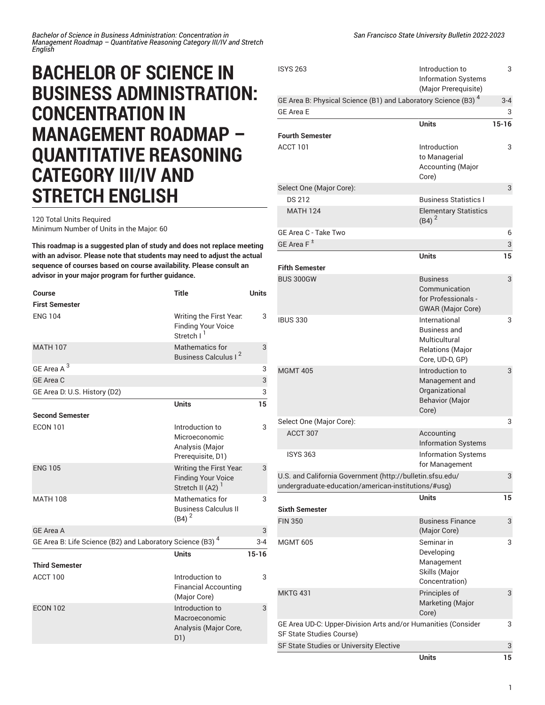## **BACHELOR OF SCIENCE IN BUSINESS ADMINISTRATION: CONCENTRATION IN MANAGEMENT ROADMAP – QUANTITATIVE REASONING CATEGORY III/IV AND STRETCH ENGLISH**

120 Total Units Required Minimum Number of Units in the Major: 60

**This roadmap is a suggested plan of study and does not replace meeting with an advisor. Please note that students may need to adjust the actual sequence of courses based on course availability. Please consult an advisor in your major program for further guidance.**

| Course                                                                | <b>Title</b>                                                                         | <b>Units</b> |
|-----------------------------------------------------------------------|--------------------------------------------------------------------------------------|--------------|
| <b>First Semester</b>                                                 |                                                                                      |              |
| <b>ENG 104</b>                                                        | Writing the First Year.<br><b>Finding Your Voice</b><br>Stretch I <sup>1</sup>       | 3            |
| <b>MATH 107</b>                                                       | <b>Mathematics for</b><br>Business Calculus I <sup>2</sup>                           | 3            |
| GE Area A <sup>3</sup>                                                |                                                                                      | 3            |
| GE Area C                                                             |                                                                                      | 3            |
| GE Area D. U.S. History (D2)                                          |                                                                                      | 3            |
|                                                                       | <b>Units</b>                                                                         | 15           |
| <b>Second Semester</b>                                                |                                                                                      |              |
| <b>ECON 101</b>                                                       | Introduction to<br>Microeconomic<br>Analysis (Major<br>Prerequisite, D1)             | 3            |
| <b>ENG 105</b>                                                        | Writing the First Year.<br><b>Finding Your Voice</b><br>Stretch II (A2) <sup>1</sup> | 3            |
| <b>MATH 108</b>                                                       | Mathematics for<br><b>Business Calculus II</b><br>$(B4)^2$                           | 3            |
| <b>GE Area A</b>                                                      |                                                                                      | 3            |
| GE Area B: Life Science (B2) and Laboratory Science (B3) <sup>4</sup> |                                                                                      | $3 - 4$      |
|                                                                       | <b>Units</b>                                                                         | $15 - 16$    |
| <b>Third Semester</b>                                                 |                                                                                      |              |
| ACCT 100                                                              | Introduction to<br><b>Financial Accounting</b><br>(Major Core)                       | 3            |
| <b>ECON 102</b>                                                       | Introduction to<br>Macroeconomic<br>Analysis (Major Core,<br>D1)                     | 3            |

| <b>ISYS 263</b>                                                                                                  | Introduction to<br><b>Information Systems</b><br>(Major Prerequisite)                               | 3            |
|------------------------------------------------------------------------------------------------------------------|-----------------------------------------------------------------------------------------------------|--------------|
| GE Area B: Physical Science (B1) and Laboratory Science (B3) <sup>4</sup><br><b>GE Area E</b>                    |                                                                                                     | $3 - 4$<br>3 |
|                                                                                                                  | Units                                                                                               | $15 - 16$    |
| <b>Fourth Semester</b>                                                                                           |                                                                                                     |              |
| ACCT 101                                                                                                         | Introduction<br>to Managerial<br>Accounting (Major<br>Core)                                         | 3            |
| Select One (Major Core):                                                                                         |                                                                                                     | 3            |
| <b>DS 212</b>                                                                                                    | <b>Business Statistics I</b>                                                                        |              |
| <b>MATH 124</b>                                                                                                  | <b>Elementary Statistics</b><br>$(B4)^2$                                                            |              |
| GE Area C - Take Two                                                                                             |                                                                                                     | 6            |
| GE Area F <sup>±</sup>                                                                                           |                                                                                                     | 3            |
|                                                                                                                  | <b>Units</b>                                                                                        | 15           |
| <b>Fifth Semester</b>                                                                                            |                                                                                                     |              |
| <b>BUS 300GW</b>                                                                                                 | <b>Business</b><br>Communication<br>for Professionals -<br><b>GWAR</b> (Major Core)                 | 3            |
| <b>IBUS 330</b>                                                                                                  | International<br><b>Business and</b><br>Multicultural<br><b>Relations (Major</b><br>Core, UD-D, GP) | 3            |
| <b>MGMT 405</b>                                                                                                  | Introduction to<br>Management and<br>Organizational<br><b>Behavior (Major</b><br>Core)              | 3            |
| Select One (Major Core):                                                                                         |                                                                                                     | 3            |
| ACCT 307                                                                                                         | Accounting<br><b>Information Systems</b>                                                            |              |
| <b>ISYS 363</b>                                                                                                  | <b>Information Systems</b><br>for Management                                                        |              |
| U.S. and California Government (http://bulletin.sfsu.edu/<br>undergraduate-education/american-institutions/#usg) |                                                                                                     | 3            |
| <b>Sixth Semester</b>                                                                                            | Units                                                                                               | 15           |
| <b>FIN 350</b>                                                                                                   | <b>Business Finance</b>                                                                             | 3            |
|                                                                                                                  | (Major Core)                                                                                        |              |
| <b>MGMT 605</b>                                                                                                  | Seminar in<br>Developing<br>Management<br>Skills (Major<br>Concentration)                           | 3            |
| <b>MKTG 431</b>                                                                                                  | Principles of<br>Marketing (Major<br>Core)                                                          | 3            |
| GE Area UD-C: Upper-Division Arts and/or Humanities (Consider<br>SF State Studies Course)                        |                                                                                                     | 3            |
| SF State Studies or University Elective                                                                          |                                                                                                     | 3            |
|                                                                                                                  | Units                                                                                               | 15           |